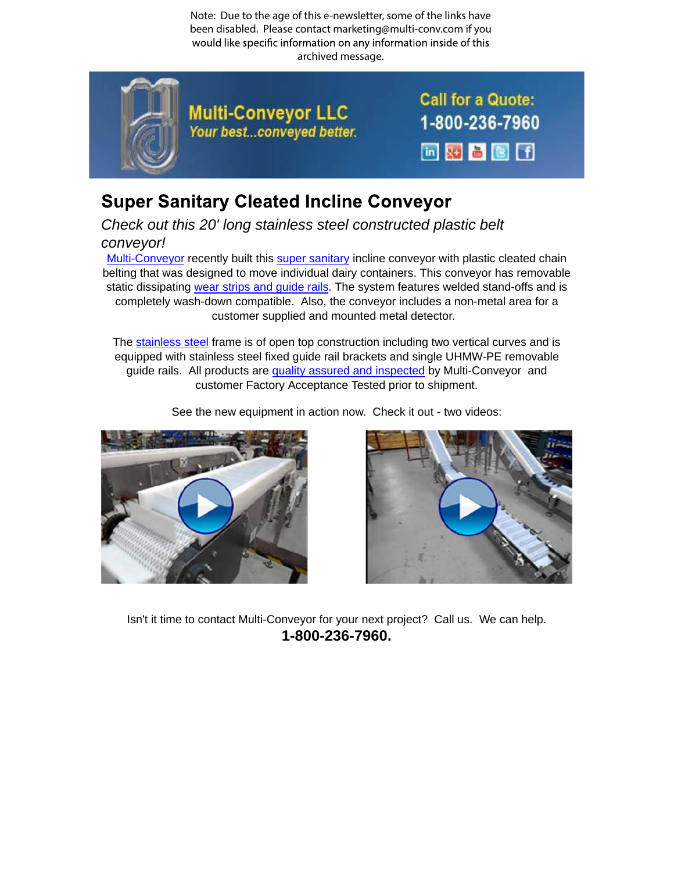Note: Due to the age of this e-newsletter, some of the links have been disabled. Please contact marketing@multi-conv.com if you would like specific information on any information inside of this archived message.



## **Super Sanitary Cleated Incline Conveyor**

Check out this 20' long stainless steel constructed plastic belt conveyor!

Multi-Conveyor recently built this super sanitary incline conveyor with plastic cleated chain belting that was designed to move individual dairy containers. This conveyor has removable static dissipating wear strips and guide rails. The system features welded stand-offs and is completely wash-down compatible. Also, the conveyor includes a non-metal area for a customer supplied and mounted metal detector.

The stainless steel frame is of open top construction including two vertical curves and is equipped with stainless steel fixed guide rail brackets and single UHMW-PE removable guide rails. All products are quality assured and inspected by Multi-Conveyor and customer Factory Acceptance Tested prior to shipment.

See the new equipment in action now. Check it out - two videos:





Isn't it time to contact Multi-Conveyor for your next project? Call us. We can help. **1-800-236-7960.**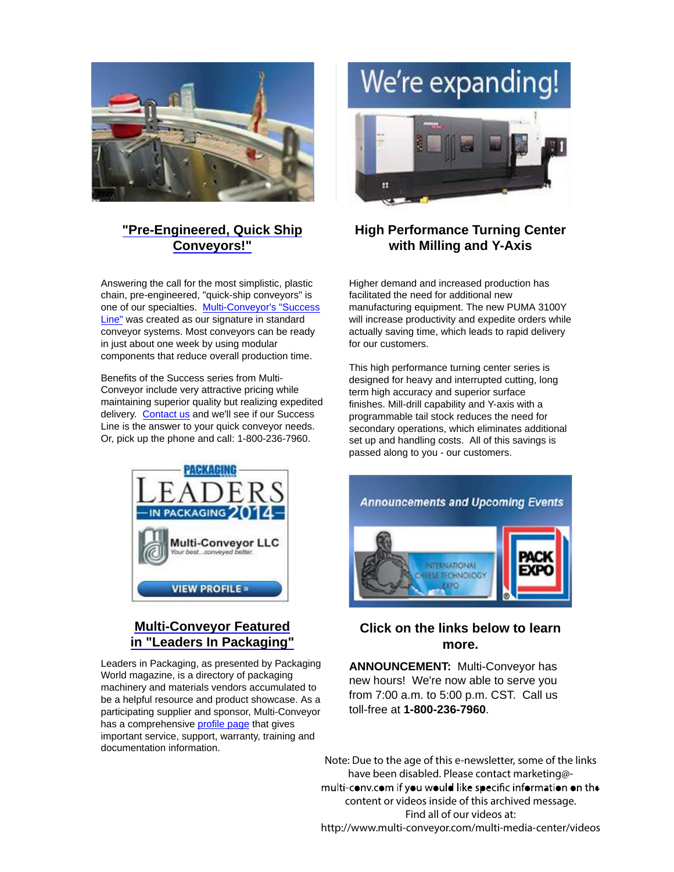

### **"Pre-Engineered, Quick Ship Conveyors!"**

Answering the call for the most simplistic, plastic chain, pre-engineered, "quick-ship conveyors" is one of our specialties. Multi-Conveyor's "Success Line" was created as our signature in standard conveyor systems. Most conveyors can be ready in just about one week by using modular components that reduce overall production time.

Benefits of the Success series from Multi-Conveyor include very attractive pricing while maintaining superior quality but realizing expedited delivery. Contact us and we'll see if our Success Line is the answer to your quick conveyor needs. Or, pick up the phone and call: 1-800-236-7960.



### **Multi-Conveyor Featured in "Leaders In Packaging"**

Leaders in Packaging, as presented by Packaging World magazine, is a directory of packaging machinery and materials vendors accumulated to be a helpful resource and product showcase. As a participating supplier and sponsor, Multi-Conveyor has a comprehensive profile page that gives important service, support, warranty, training and documentation information.

# We're expanding!



### **High Performance Turning Center with Milling and Y-Axis**

Higher demand and increased production has facilitated the need for additional new manufacturing equipment. The new PUMA 3100Y will increase productivity and expedite orders while actually saving time, which leads to rapid delivery for our customers.

This high performance turning center series is designed for heavy and interrupted cutting, long term high accuracy and superior surface finishes. Mill-drill capability and Y-axis with a programmable tail stock reduces the need for secondary operations, which eliminates additional set up and handling costs. All of this savings is passed along to you - our customers.



#### **Click on the links below to learn more.**

**ANNOUNCEMENT:** Multi-Conveyor has new hours! We're now able to serve you from 7:00 a.m. to 5:00 p.m. CST. Call us toll-free at **1-800-236-7960**.

Note: Due to the age of this e-newsletter, some of the links have been disabled. Please contact marketing@ multi-conv.com if you would like specific information on the content or videos inside of this archived message. Find all of our videos at: http://www.multi-conveyor.com/multi-media-center/videos